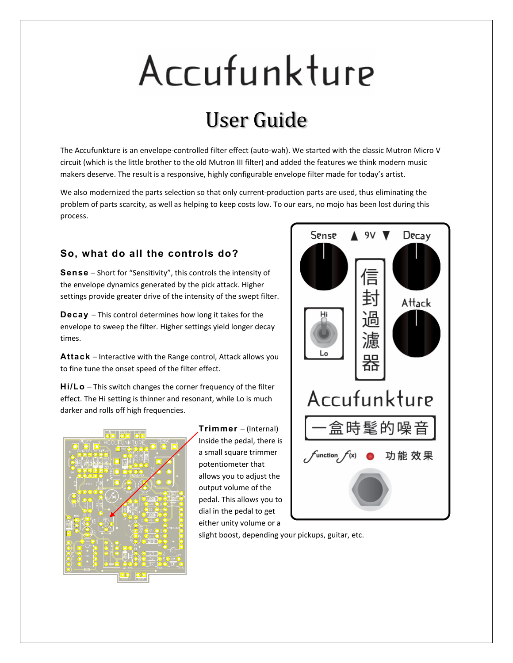# Accufunkture

## User Guide

The Accufunkture is an envelope-controlled filter effect (auto-wah). We started with the classic Mutron Micro V circuit (which is the little brother to the old Mutron III filter) and added the features we think modern music makers deserve. The result is a responsive, highly configurable envelope filter made for today's artist.

We also modernized the parts selection so that only current-production parts are used, thus eliminating the problem of parts scarcity, as well as helping to keep costs low. To our ears, no mojo has been lost during this process.

#### **So, what do all the controls do?**

**Sense** – Short for "Sensitivity", this controls the intensity of the envelope dynamics generated by the pick attack. Higher settings provide greater drive of the intensity of the swept filter.

**Decay** – This control determines how long it takes for the envelope to sweep the filter. Higher settings yield longer decay times.

**Attack** – Interactive with the Range control, Attack allows you to fine tune the onset speed of the filter effect.

**Hi/Lo** – This switch changes the corner frequency of the filter effect. The Hi setting is thinner and resonant, while Lo is much darker and rolls off high frequencies.



**Trimmer** – (Internal) Inside the pedal, there is a small square trimmer potentiometer that allows you to adjust the output volume of the pedal. This allows you to dial in the pedal to get either unity volume or a



slight boost, depending your pickups, guitar, etc.